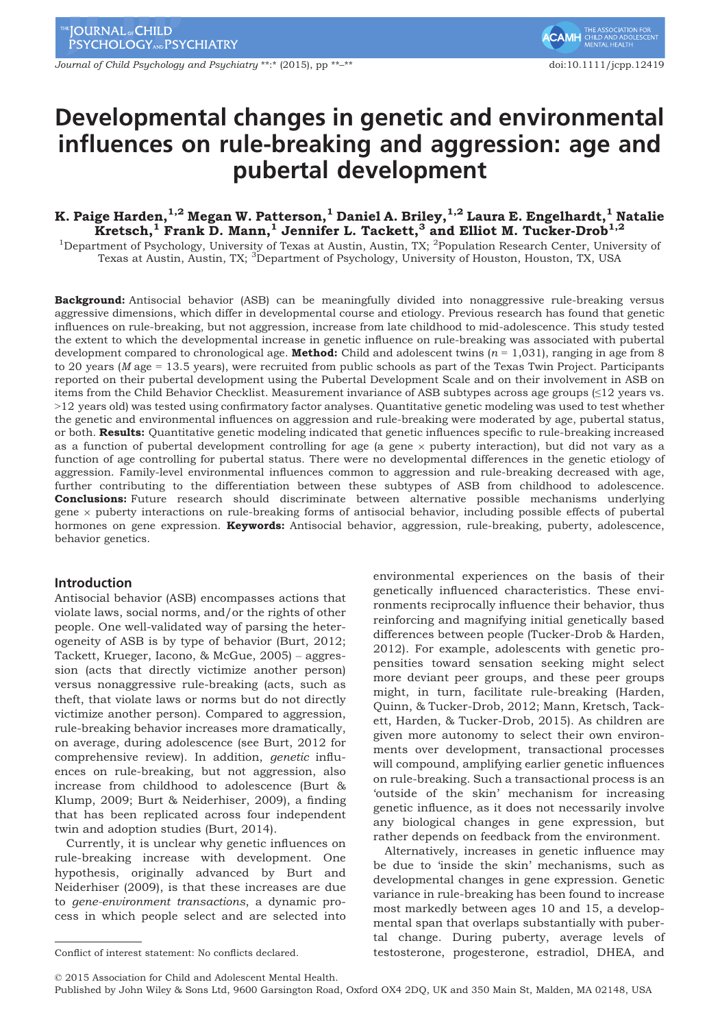Journal of Child Psychology and Psychiatry \*\*:\* (2015), pp \*\*–\*\* doi:10.1111/jcpp.12419

# Developmental changes in genetic and environmental influences on rule-breaking and aggression: age and pubertal development

# K. Paige Harden, $^{1,2}$  Megan W. Patterson, $^1$  Daniel A. Briley, $^{1,2}$  Laura E. Engelhardt, $^1$  Natalie Kretsch,<sup>1</sup> Frank D. Mann,<sup>1</sup> Jennifer L. Tackett,<sup>3</sup> and Elliot M. Tucker-Drob<sup>1,2</sup>

<sup>1</sup>Department of Psychology, University of Texas at Austin, Austin, TX; <sup>2</sup>Population Research Center, University of Texas at Austin, Austin, TX; <sup>3</sup>Department of Psychology, University of Houston, Houston, TX, USA

Background: Antisocial behavior (ASB) can be meaningfully divided into nonaggressive rule-breaking versus aggressive dimensions, which differ in developmental course and etiology. Previous research has found that genetic influences on rule-breaking, but not aggression, increase from late childhood to mid-adolescence. This study tested the extent to which the developmental increase in genetic influence on rule-breaking was associated with pubertal development compared to chronological age. **Method:** Child and adolescent twins  $(n = 1,031)$ , ranging in age from 8 to 20 years (M age = 13.5 years), were recruited from public schools as part of the Texas Twin Project. Participants reported on their pubertal development using the Pubertal Development Scale and on their involvement in ASB on items from the Child Behavior Checklist. Measurement invariance of ASB subtypes across age groups (≤12 years vs. >12 years old) was tested using confirmatory factor analyses. Quantitative genetic modeling was used to test whether the genetic and environmental influences on aggression and rule-breaking were moderated by age, pubertal status, or both. Results: Quantitative genetic modeling indicated that genetic influences specific to rule-breaking increased as a function of pubertal development controlling for age (a gene  $\times$  puberty interaction), but did not vary as a function of age controlling for pubertal status. There were no developmental differences in the genetic etiology of aggression. Family-level environmental influences common to aggression and rule-breaking decreased with age, further contributing to the differentiation between these subtypes of ASB from childhood to adolescence. **Conclusions:** Future research should discriminate between alternative possible mechanisms underlying gene  $\times$  puberty interactions on rule-breaking forms of antisocial behavior, including possible effects of pubertal hormones on gene expression. **Keywords:** Antisocial behavior, aggression, rule-breaking, puberty, adolescence, behavior genetics.

# Introduction

Antisocial behavior (ASB) encompasses actions that violate laws, social norms, and/or the rights of other people. One well-validated way of parsing the heterogeneity of ASB is by type of behavior (Burt, 2012; Tackett, Krueger, Iacono, & McGue, 2005) – aggression (acts that directly victimize another person) versus nonaggressive rule-breaking (acts, such as theft, that violate laws or norms but do not directly victimize another person). Compared to aggression, rule-breaking behavior increases more dramatically, on average, during adolescence (see Burt, 2012 for comprehensive review). In addition, genetic influences on rule-breaking, but not aggression, also increase from childhood to adolescence (Burt & Klump, 2009; Burt & Neiderhiser, 2009), a finding that has been replicated across four independent twin and adoption studies (Burt, 2014).

Currently, it is unclear why genetic influences on rule-breaking increase with development. One hypothesis, originally advanced by Burt and Neiderhiser (2009), is that these increases are due to gene-environment transactions, a dynamic process in which people select and are selected into

environmental experiences on the basis of their genetically influenced characteristics. These environments reciprocally influence their behavior, thus reinforcing and magnifying initial genetically based differences between people (Tucker-Drob & Harden, 2012). For example, adolescents with genetic propensities toward sensation seeking might select more deviant peer groups, and these peer groups might, in turn, facilitate rule-breaking (Harden, Quinn, & Tucker-Drob, 2012; Mann, Kretsch, Tackett, Harden, & Tucker-Drob, 2015). As children are given more autonomy to select their own environments over development, transactional processes will compound, amplifying earlier genetic influences on rule-breaking. Such a transactional process is an 'outside of the skin' mechanism for increasing genetic influence, as it does not necessarily involve any biological changes in gene expression, but rather depends on feedback from the environment.

Alternatively, increases in genetic influence may be due to 'inside the skin' mechanisms, such as developmental changes in gene expression. Genetic variance in rule-breaking has been found to increase most markedly between ages 10 and 15, a developmental span that overlaps substantially with pubertal change. During puberty, average levels of Conflict of interest statement: No conflicts declared. testosterone, progesterone, estradiol, DHEA, and

© 2015 Association for Child and Adolescent Mental Health.

Published by John Wiley & Sons Ltd, 9600 Garsington Road, Oxford OX4 2DQ, UK and 350 Main St, Malden, MA 02148, USA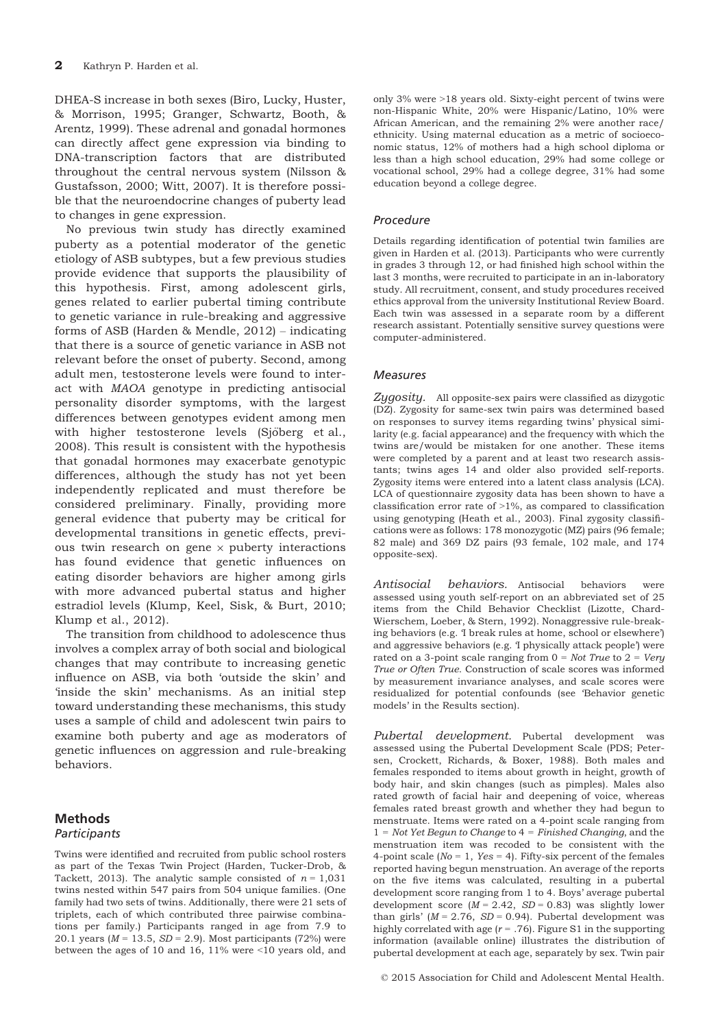DHEA-S increase in both sexes (Biro, Lucky, Huster, & Morrison, 1995; Granger, Schwartz, Booth, & Arentz, 1999). These adrenal and gonadal hormones can directly affect gene expression via binding to DNA-transcription factors that are distributed throughout the central nervous system (Nilsson & Gustafsson, 2000; Witt, 2007). It is therefore possible that the neuroendocrine changes of puberty lead to changes in gene expression.

No previous twin study has directly examined puberty as a potential moderator of the genetic etiology of ASB subtypes, but a few previous studies provide evidence that supports the plausibility of this hypothesis. First, among adolescent girls, genes related to earlier pubertal timing contribute to genetic variance in rule-breaking and aggressive forms of ASB (Harden & Mendle, 2012) – indicating that there is a source of genetic variance in ASB not relevant before the onset of puberty. Second, among adult men, testosterone levels were found to interact with MAOA genotype in predicting antisocial personality disorder symptoms, with the largest differences between genotypes evident among men with higher testosterone levels (Sjöberg et al., 2008). This result is consistent with the hypothesis that gonadal hormones may exacerbate genotypic differences, although the study has not yet been independently replicated and must therefore be considered preliminary. Finally, providing more general evidence that puberty may be critical for developmental transitions in genetic effects, previous twin research on gene  $\times$  puberty interactions has found evidence that genetic influences on eating disorder behaviors are higher among girls with more advanced pubertal status and higher estradiol levels (Klump, Keel, Sisk, & Burt, 2010; Klump et al., 2012).

The transition from childhood to adolescence thus involves a complex array of both social and biological changes that may contribute to increasing genetic influence on ASB, via both 'outside the skin' and 'inside the skin' mechanisms. As an initial step toward understanding these mechanisms, this study uses a sample of child and adolescent twin pairs to examine both puberty and age as moderators of genetic influences on aggression and rule-breaking behaviors.

# Methods

# **Participants**

Twins were identified and recruited from public school rosters as part of the Texas Twin Project (Harden, Tucker-Drob, & Tackett, 2013). The analytic sample consisted of  $n = 1,031$ twins nested within 547 pairs from 504 unique families. (One family had two sets of twins. Additionally, there were 21 sets of triplets, each of which contributed three pairwise combinations per family.) Participants ranged in age from 7.9 to 20.1 years ( $M = 13.5$ ,  $SD = 2.9$ ). Most participants (72%) were between the ages of 10 and 16, 11% were <10 years old, and

only 3% were >18 years old. Sixty-eight percent of twins were non-Hispanic White, 20% were Hispanic/Latino, 10% were African American, and the remaining 2% were another race/ ethnicity. Using maternal education as a metric of socioeconomic status, 12% of mothers had a high school diploma or less than a high school education, 29% had some college or vocational school, 29% had a college degree, 31% had some education beyond a college degree.

#### Procedure

Details regarding identification of potential twin families are given in Harden et al. (2013). Participants who were currently in grades 3 through 12, or had finished high school within the last 3 months, were recruited to participate in an in-laboratory study. All recruitment, consent, and study procedures received ethics approval from the university Institutional Review Board. Each twin was assessed in a separate room by a different research assistant. Potentially sensitive survey questions were computer-administered.

#### Measures

Zygosity. All opposite-sex pairs were classified as dizygotic (DZ). Zygosity for same-sex twin pairs was determined based on responses to survey items regarding twins' physical similarity (e.g. facial appearance) and the frequency with which the twins are/would be mistaken for one another. These items were completed by a parent and at least two research assistants; twins ages 14 and older also provided self-reports. Zygosity items were entered into a latent class analysis (LCA). LCA of questionnaire zygosity data has been shown to have a classification error rate of  $>1\%$ , as compared to classification using genotyping (Heath et al., 2003). Final zygosity classifications were as follows: 178 monozygotic (MZ) pairs (96 female; 82 male) and 369 DZ pairs (93 female, 102 male, and 174 opposite-sex).

Antisocial behaviors. Antisocial behaviors were assessed using youth self-report on an abbreviated set of 25 items from the Child Behavior Checklist (Lizotte, Chard-Wierschem, Loeber, & Stern, 1992). Nonaggressive rule-breaking behaviors (e.g. 'I break rules at home, school or elsewhere') and aggressive behaviors (e.g. 'I physically attack people') were rated on a 3-point scale ranging from  $0 = Not$  True to  $2 = Very$ True or Often True. Construction of scale scores was informed by measurement invariance analyses, and scale scores were residualized for potential confounds (see 'Behavior genetic models' in the Results section).

Pubertal development. Pubertal development was assessed using the Pubertal Development Scale (PDS; Petersen, Crockett, Richards, & Boxer, 1988). Both males and females responded to items about growth in height, growth of body hair, and skin changes (such as pimples). Males also rated growth of facial hair and deepening of voice, whereas females rated breast growth and whether they had begun to menstruate. Items were rated on a 4-point scale ranging from  $1 = Not Yet Begun to Change to 4 = Finished Changing, and the$ menstruation item was recoded to be consistent with the 4-point scale ( $No = 1$ ,  $Yes = 4$ ). Fifty-six percent of the females reported having begun menstruation. An average of the reports on the five items was calculated, resulting in a pubertal development score ranging from 1 to 4. Boys' average pubertal development score  $(M = 2.42, SD = 0.83)$  was slightly lower than girls' ( $M = 2.76$ ,  $SD = 0.94$ ). Pubertal development was highly correlated with age ( $r = .76$ ). Figure S1 in the supporting information (available online) illustrates the distribution of pubertal development at each age, separately by sex. Twin pair

© 2015 Association for Child and Adolescent Mental Health.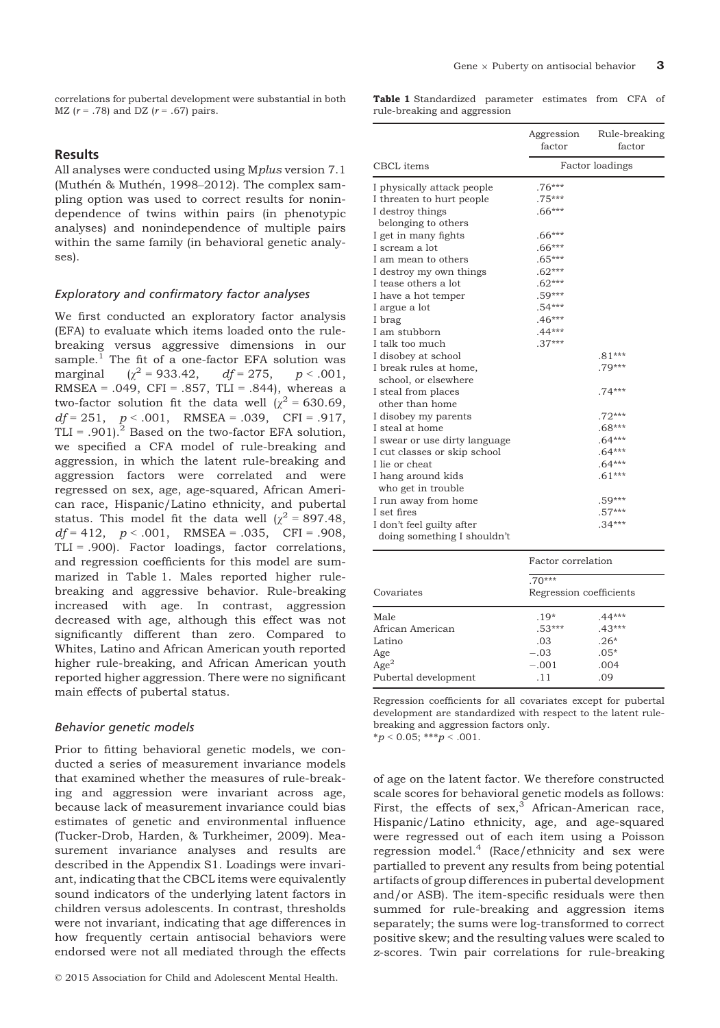correlations for pubertal development were substantial in both MZ ( $r = .78$ ) and DZ ( $r = .67$ ) pairs.

#### **Results**

All analyses were conducted using Mplus version 7.1 (Muthén & Muthén, 1998–2012). The complex sampling option was used to correct results for nonindependence of twins within pairs (in phenotypic analyses) and nonindependence of multiple pairs within the same family (in behavioral genetic analyses).

#### Exploratory and confirmatory factor analyses

We first conducted an exploratory factor analysis (EFA) to evaluate which items loaded onto the rulebreaking versus aggressive dimensions in our sample. $^1$  The fit of a one-factor EFA solution was marginal  $(\chi^2 = 933.42, \quad df = 275, \quad p < .001,$ RMSEA = .049, CFI = .857, TLI = .844), whereas a two-factor solution fit the data well ( $\chi^2$  = 630.69,  $df = 251$ ,  $p < .001$ , RMSEA = .039, CFI = .917, TLI = .901).<sup>2</sup> Based on the two-factor EFA solution, we specified a CFA model of rule-breaking and aggression, in which the latent rule-breaking and aggression factors were correlated and were regressed on sex, age, age-squared, African American race, Hispanic/Latino ethnicity, and pubertal status. This model fit the data well  $\chi^2$  = 897.48,  $df = 412$ ,  $p < .001$ , RMSEA = .035, CFI = .908, TLI = .900). Factor loadings, factor correlations, and regression coefficients for this model are summarized in Table 1. Males reported higher rulebreaking and aggressive behavior. Rule-breaking increased with age. In contrast, aggression decreased with age, although this effect was not significantly different than zero. Compared to Whites, Latino and African American youth reported higher rule-breaking, and African American youth reported higher aggression. There were no significant main effects of pubertal status.

#### Behavior genetic models

Prior to fitting behavioral genetic models, we conducted a series of measurement invariance models that examined whether the measures of rule-breaking and aggression were invariant across age, because lack of measurement invariance could bias estimates of genetic and environmental influence (Tucker-Drob, Harden, & Turkheimer, 2009). Measurement invariance analyses and results are described in the Appendix S1. Loadings were invariant, indicating that the CBCL items were equivalently sound indicators of the underlying latent factors in children versus adolescents. In contrast, thresholds were not invariant, indicating that age differences in how frequently certain antisocial behaviors were endorsed were not all mediated through the effects

Table 1 Standardized parameter estimates from CFA of rule-breaking and aggression

|                               | Aggression<br>factor | Rule-breaking<br>factor |
|-------------------------------|----------------------|-------------------------|
| <b>CBCL</b> items             |                      | <b>Factor</b> loadings  |
| I physically attack people    | $.76***$             |                         |
| I threaten to hurt people     | $.75***$             |                         |
| I destroy things              | $.66***$             |                         |
| belonging to others           |                      |                         |
| I get in many fights          | $.66***$             |                         |
| I scream a lot                | $.66***$             |                         |
| I am mean to others           | $.65***$             |                         |
| I destroy my own things       | $.62***$             |                         |
| I tease others a lot          | $.62***$             |                         |
| I have a hot temper           | $.59***$             |                         |
| I argue a lot                 | $.54***$             |                         |
| I brag                        | $.46***$             |                         |
| I am stubborn                 | $.44***$             |                         |
| I talk too much               | $.37***$             |                         |
| I disobey at school           |                      | $.81***$                |
| I break rules at home,        |                      | $.79***$                |
| school, or elsewhere          |                      |                         |
| I steal from places           |                      | $.74***$                |
| other than home               |                      |                         |
| I disobey my parents          |                      | $.72***$                |
| I steal at home               |                      | $.68***$                |
| I swear or use dirty language |                      | $.64***$                |
| I cut classes or skip school  |                      | $.64***$                |
| I lie or cheat                |                      | $.64***$                |
| I hang around kids            |                      | $.61***$                |
| who get in trouble            |                      |                         |
| I run away from home          |                      | $.59***$                |
| I set fires                   |                      | $.57***$                |
| I don't feel guilty after     |                      | $.34***$                |
| doing something I shouldn't   |                      |                         |

|                      | Factor correlation                  |          |  |
|----------------------|-------------------------------------|----------|--|
| Covariates           | $.70***$<br>Regression coefficients |          |  |
| Male                 | $.19*$                              | $.44***$ |  |
| African American     | $.53***$                            | $.43***$ |  |
| Latino               | .03                                 | $.26*$   |  |
| Age                  | $-.03$                              | $.05*$   |  |
| $\overline{Age}^2$   | $-.001$                             | .004     |  |
| Pubertal development | .11                                 | .09      |  |

Regression coefficients for all covariates except for pubertal development are standardized with respect to the latent rulebreaking and aggression factors only.  $* p < 0.05; ** p < .001.$ 

of age on the latent factor. We therefore constructed scale scores for behavioral genetic models as follows: First, the effects of  $sex$ , African-American race, Hispanic/Latino ethnicity, age, and age-squared were regressed out of each item using a Poisson regression model. $4 \text{ (Race/ethnicity and sex were)}$ partialled to prevent any results from being potential artifacts of group differences in pubertal development and/or ASB). The item-specific residuals were then summed for rule-breaking and aggression items separately; the sums were log-transformed to correct positive skew; and the resulting values were scaled to z-scores. Twin pair correlations for rule-breaking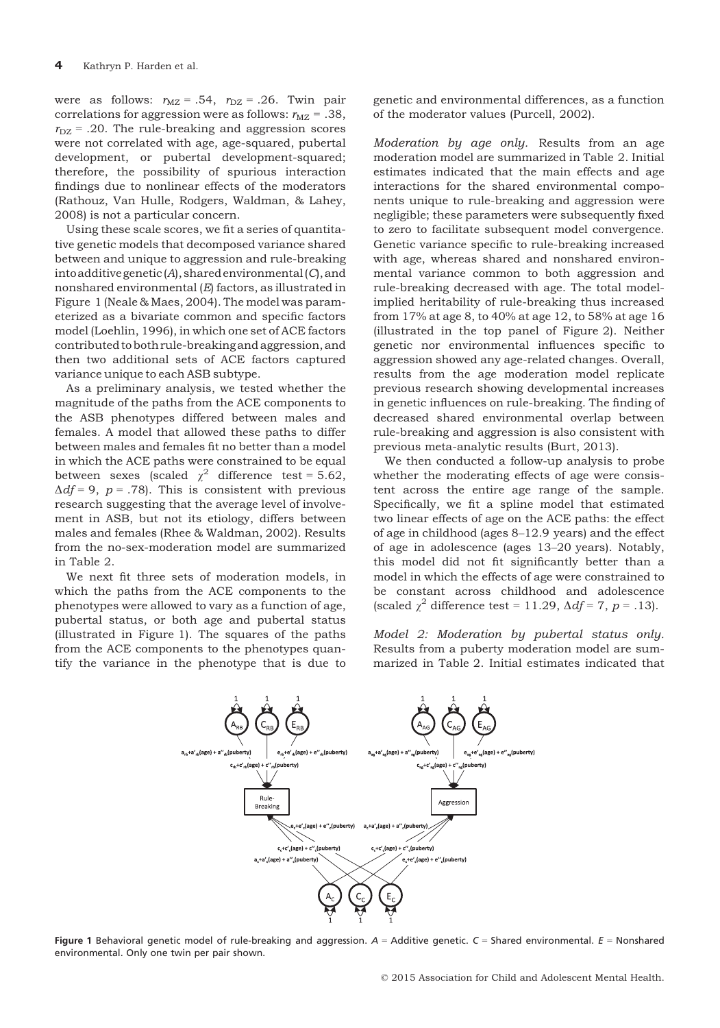were as follows:  $r_{\text{MZ}} = .54$ ,  $r_{\text{DZ}} = .26$ . Twin pair correlations for aggression were as follows:  $r_{\text{MZ}} = .38$ ,  $r_{\text{DZ}}$  = .20. The rule-breaking and aggression scores were not correlated with age, age-squared, pubertal development, or pubertal development-squared; therefore, the possibility of spurious interaction findings due to nonlinear effects of the moderators (Rathouz, Van Hulle, Rodgers, Waldman, & Lahey, 2008) is not a particular concern.

Using these scale scores, we fit a series of quantitative genetic models that decomposed variance shared between and unique to aggression and rule-breaking into additive genetic  $(A)$ , shared environmental  $(C)$ , and nonshared environmental (E) factors, as illustrated in Figure 1 (Neale & Maes, 2004). The model was parameterized as a bivariate common and specific factors model (Loehlin, 1996), in which one set of ACE factors contributed to both rule-breaking and aggression, and then two additional sets of ACE factors captured variance unique to each ASB subtype.

As a preliminary analysis, we tested whether the magnitude of the paths from the ACE components to the ASB phenotypes differed between males and females. A model that allowed these paths to differ between males and females fit no better than a model in which the ACE paths were constrained to be equal between sexes (scaled  $\chi^2$  difference test = 5.62,  $\Delta df = 9$ ,  $p = .78$ ). This is consistent with previous research suggesting that the average level of involvement in ASB, but not its etiology, differs between males and females (Rhee & Waldman, 2002). Results from the no-sex-moderation model are summarized in Table 2.

We next fit three sets of moderation models, in which the paths from the ACE components to the phenotypes were allowed to vary as a function of age, pubertal status, or both age and pubertal status (illustrated in Figure 1). The squares of the paths from the ACE components to the phenotypes quantify the variance in the phenotype that is due to

genetic and environmental differences, as a function of the moderator values (Purcell, 2002).

Moderation by age only. Results from an age moderation model are summarized in Table 2. Initial estimates indicated that the main effects and age interactions for the shared environmental components unique to rule-breaking and aggression were negligible; these parameters were subsequently fixed to zero to facilitate subsequent model convergence. Genetic variance specific to rule-breaking increased with age, whereas shared and nonshared environmental variance common to both aggression and rule-breaking decreased with age. The total modelimplied heritability of rule-breaking thus increased from 17% at age 8, to 40% at age 12, to 58% at age 16 (illustrated in the top panel of Figure 2). Neither genetic nor environmental influences specific to aggression showed any age-related changes. Overall, results from the age moderation model replicate previous research showing developmental increases in genetic influences on rule-breaking. The finding of decreased shared environmental overlap between rule-breaking and aggression is also consistent with previous meta-analytic results (Burt, 2013).

We then conducted a follow-up analysis to probe whether the moderating effects of age were consistent across the entire age range of the sample. Specifically, we fit a spline model that estimated two linear effects of age on the ACE paths: the effect of age in childhood (ages 8–12.9 years) and the effect of age in adolescence (ages 13–20 years). Notably, this model did not fit significantly better than a model in which the effects of age were constrained to be constant across childhood and adolescence (scaled  $\chi^2$  difference test = 11.29,  $\Delta df = 7$ , p = .13).

Model 2: Moderation by pubertal status only. Results from a puberty moderation model are summarized in Table 2. Initial estimates indicated that



Figure 1 Behavioral genetic model of rule-breaking and aggression.  $A =$  Additive genetic.  $C =$  Shared environmental.  $E =$  Nonshared environmental. Only one twin per pair shown.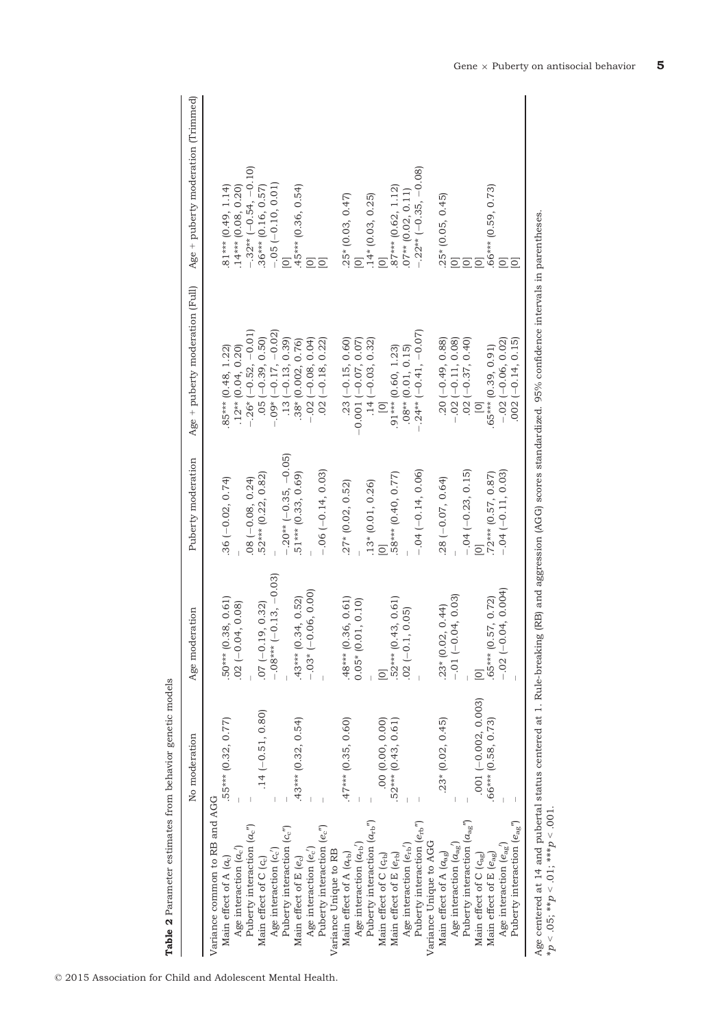|                                                                                                                                                                                                                                                                                                                                                                                                                                                                                                                                                                                                                                                                                                                                                                                                                                                                                                                                                                                          | No moderation                                                                                                                                                                                                       | Age moderation                                                                                                                                                                                                                                                                                                                                                                   | Puberty moderation                                                                                                                                                                                                                                                                                                                 | Age + puberty moderation (Full)                                                                                                                                                                                                                                                                                                                                                                                                                                                                                                                                                                                                    | Age + puberty moderation (Trimmed)                                                                                                                                                                                                                                                                                                                                                                                                                                 |
|------------------------------------------------------------------------------------------------------------------------------------------------------------------------------------------------------------------------------------------------------------------------------------------------------------------------------------------------------------------------------------------------------------------------------------------------------------------------------------------------------------------------------------------------------------------------------------------------------------------------------------------------------------------------------------------------------------------------------------------------------------------------------------------------------------------------------------------------------------------------------------------------------------------------------------------------------------------------------------------|---------------------------------------------------------------------------------------------------------------------------------------------------------------------------------------------------------------------|----------------------------------------------------------------------------------------------------------------------------------------------------------------------------------------------------------------------------------------------------------------------------------------------------------------------------------------------------------------------------------|------------------------------------------------------------------------------------------------------------------------------------------------------------------------------------------------------------------------------------------------------------------------------------------------------------------------------------|------------------------------------------------------------------------------------------------------------------------------------------------------------------------------------------------------------------------------------------------------------------------------------------------------------------------------------------------------------------------------------------------------------------------------------------------------------------------------------------------------------------------------------------------------------------------------------------------------------------------------------|--------------------------------------------------------------------------------------------------------------------------------------------------------------------------------------------------------------------------------------------------------------------------------------------------------------------------------------------------------------------------------------------------------------------------------------------------------------------|
| Age centered at 14 and pubertal status centered at 1. Rule-breaking<br>Variance common to RB and AGG<br>Puberty interaction $(a_{rb}^{\prime\prime})$<br>Puberty interaction $(a_{\rm ag}^{\phantom{\rm u}})$<br>Puberty interaction $(e_{\mathbf{a}\mathbf{g}})^n$<br>Puberty interaction $(e_{\rm rb}^{\phantom{\dagger}})$<br>Puberty interaction $(a_c'')$<br>Puberty interaction $(e''_c)$<br>Puberty interaction $(c''_c)$<br>Variance Unique to AGG<br>Age interaction $(a_{\rm ag})$<br>Age interaction $(a_{rb})$<br>Age interaction $(e_{ag})$<br>Age interaction $(e_{rb})$<br>Age interaction $(a_c)$<br>Age interaction $(e_c)$<br>Age interaction $(c_c)$<br>Variance Unique to RB<br>Main effect of A $(a_{\rm ag})$<br>Main effect of A $(a_{rb})$<br>Main effect of E $(e_{ag})$<br>Main effect of C (C <sub>rb</sub> )<br>Main effect of E $(e_{rb})$<br>Main effect of C $(c_{\rm ag})$<br>Main effect of A $(a_c)$<br>Main effect of C (cc)<br>Main effect of E (ec) | $.001 (-0.002, 0.003)$<br>$.14 (-0.51, 0.80)$<br>$.43***$ $(0.32, 0.54)$<br>.55*** (0.32, 0.77)<br>$.47***$ $(0.35, 0.60)$<br>$.23*(0.02, 0.45)$<br>.00(0.00, 0.00)<br>$.52***$ (0.43, 0.61)<br>.66*** (0.58, 0.73) | $-0.08***$ (-0.13, -0.03)<br>$.65***$ (0.57, 0.72)<br>- $.02$ (-0.04, 0.004)<br>$-.03*(-0.06, 0.00)$<br>$-0.04, 0.03$<br>$.43***$ (0.34, 0.52)<br>50*** (0.38, 0.61)<br>.48*** (0.36, 0.61)<br>$52***$ (0.43, 0.61)<br>$0.05*(0.01, 0.10)$<br>$.02 (-0.04, 0.08)$<br>$.07 (-0.19, 0.32)$<br>$.23*(0.02, 0.44)$<br>$.02 (-0.1, 0.05)$<br>$\overline{\circ}$<br>$\overline{\circ}$ | $-.20***(-0.35,-0.05)$<br>$-.04 (-0.14, 0.06)$<br>$-0.04$ $(-0.23, 0.15)$<br>$-.06 (-0.14, 0.03)$<br>$-.04 (-0.11, 0.03)$<br>72*** (0.57, 0.87)<br>52*** (0.22, 0.82)<br>58*** (0.40, 0.77)<br>51*** (0.33, 0.69)<br>$.28 (-0.07, 0.64)$<br>$.08 (-0.08, 0.24)$<br>$.36 (-0.02, 0.74)$<br>$.13*(0.01, 0.26)$<br>$.27*(0.02, 0.52)$ | (RB) and aggression (AGG) scores standardized. 95% confidence intervals in parentheses.<br>$-.24**$ (-0.41, -0.07)<br>$-26*(-0.52, -0.01)$<br>.05 $(-0.39, 0.50)$<br>$.09* (-0.17, -0.02)$<br>$.13 (-0.13, 0.39)$<br>$.38*(0.002, 0.76)$<br>$-23 (-0.15, 0.60)$<br>$-0.001 (-0.07, 0.07)$<br>.14 (-0.03, 0.32)<br>$(20 (-0.49, 0.88))$<br>$-0.02 (-0.11, 0.08)$<br>$0.02 (-0.37, 0.40)$<br>$-0.02(-0.06, 0.02)$<br>$002 (-0.14, 0.15)$<br>$-0.02(-0.08, 0.04)$<br>$.02 (-0.18, 0.22)$<br>$.65***$ $(0.39, 0.91)$<br>$.91***$ (0.60, 1.23)<br>.85*** (0.48, 1.22)<br>$.12**$ (0.04, 0.20)<br>$.08**$ (0.01, 0.15)<br>$\overline{a}$ | $-.32**$ (-0.54, -0.10)<br>$-.22**$ (-0.35, -0.08)<br>$-.05 (-0.10, 0.01)$<br>$.45***$ (0.36, 0.54)<br>.66*** (0.59, 0.73)<br>$81***$ (0.49, 1.14)<br>$.14***$ (0.08, 0.20)<br>$87***$ (0.62, 1.12)<br>$.36***$ $(0.16, 0.57)$<br>$.07**$ (0.02, 0.11)<br>$.25*(0.05, 0.45)$<br>$.25*(0.03, 0.47)$<br>$.14*(0.03, 0.25)$<br>$\overline{O}$<br>$\overline{\Omega}$<br>$\overline{\Omega}$<br>$\overline{O}$<br>$\overline{O}$<br>$\overline{C}$<br>$\overline{\Xi}$ |
| $*p < .05; **p < .01; **p < .001$                                                                                                                                                                                                                                                                                                                                                                                                                                                                                                                                                                                                                                                                                                                                                                                                                                                                                                                                                        |                                                                                                                                                                                                                     |                                                                                                                                                                                                                                                                                                                                                                                  |                                                                                                                                                                                                                                                                                                                                    |                                                                                                                                                                                                                                                                                                                                                                                                                                                                                                                                                                                                                                    |                                                                                                                                                                                                                                                                                                                                                                                                                                                                    |

Table 2 Parameter estimates from behavior genetic models Table 2 Parameter estimates from behavior genetic models

© 2015 Association for Child and Adolescent Mental Health.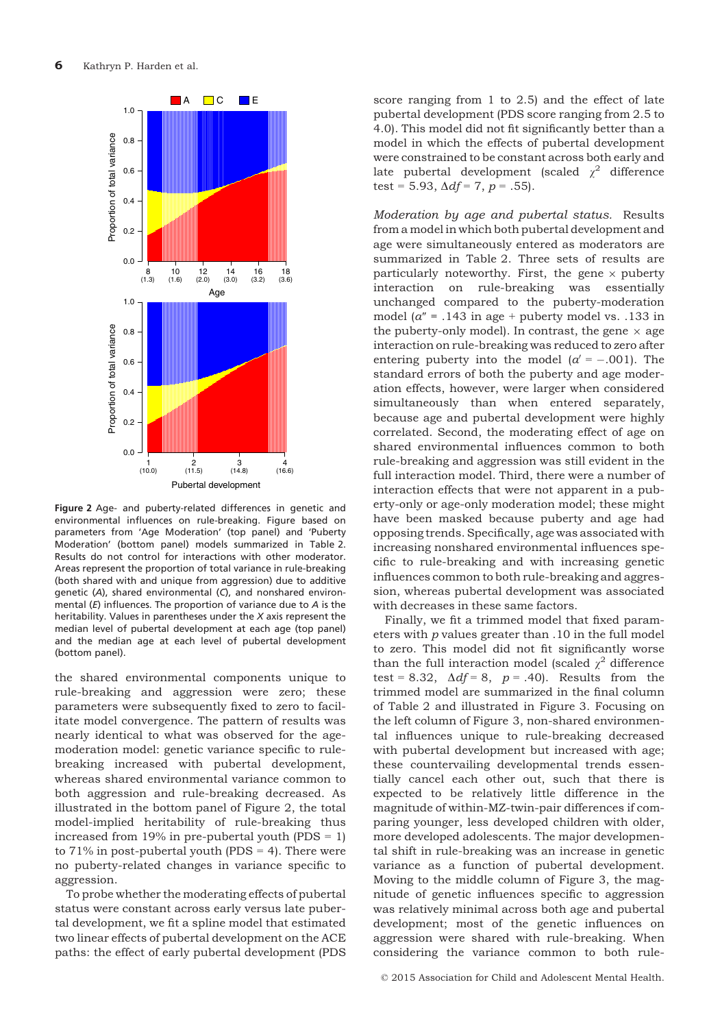

Figure 2 Age- and puberty-related differences in genetic and environmental influences on rule-breaking. Figure based on parameters from 'Age Moderation' (top panel) and 'Puberty Moderation' (bottom panel) models summarized in Table 2. Results do not control for interactions with other moderator. Areas represent the proportion of total variance in rule-breaking (both shared with and unique from aggression) due to additive genetic (A), shared environmental (C), and nonshared environmental  $(E)$  influences. The proportion of variance due to  $A$  is the heritability. Values in parentheses under the X axis represent the median level of pubertal development at each age (top panel) and the median age at each level of pubertal development (bottom panel).

the shared environmental components unique to rule-breaking and aggression were zero; these parameters were subsequently fixed to zero to facilitate model convergence. The pattern of results was nearly identical to what was observed for the agemoderation model: genetic variance specific to rulebreaking increased with pubertal development, whereas shared environmental variance common to both aggression and rule-breaking decreased. As illustrated in the bottom panel of Figure 2, the total model-implied heritability of rule-breaking thus increased from 19% in pre-pubertal youth (PDS  $= 1$ ) to  $71\%$  in post-pubertal youth (PDS = 4). There were no puberty-related changes in variance specific to aggression.

To probe whether the moderating effects of pubertal status were constant across early versus late pubertal development, we fit a spline model that estimated two linear effects of pubertal development on the ACE paths: the effect of early pubertal development (PDS

score ranging from 1 to 2.5) and the effect of late pubertal development (PDS score ranging from 2.5 to 4.0). This model did not fit significantly better than a model in which the effects of pubertal development were constrained to be constant across both early and late pubertal development (scaled  $\chi^2$  difference test = 5.93,  $\Delta df = 7$ ,  $p = .55$ ).

Moderation by age and pubertal status. Results from a model in which both pubertal development and age were simultaneously entered as moderators are summarized in Table 2. Three sets of results are particularly noteworthy. First, the gene  $\times$  puberty interaction on rule-breaking was essentially unchanged compared to the puberty-moderation model ( $a'' = .143$  in age + puberty model vs. .133 in the puberty-only model). In contrast, the gene  $\times$  age interaction on rule-breaking was reduced to zero after entering puberty into the model  $\alpha' = -.001$ . The standard errors of both the puberty and age moderation effects, however, were larger when considered simultaneously than when entered separately, because age and pubertal development were highly correlated. Second, the moderating effect of age on shared environmental influences common to both rule-breaking and aggression was still evident in the full interaction model. Third, there were a number of interaction effects that were not apparent in a puberty-only or age-only moderation model; these might have been masked because puberty and age had opposing trends. Specifically, age was associated with increasing nonshared environmental influences specific to rule-breaking and with increasing genetic influences common to both rule-breaking and aggression, whereas pubertal development was associated with decreases in these same factors.

Finally, we fit a trimmed model that fixed parameters with p values greater than .10 in the full model to zero. This model did not fit significantly worse than the full interaction model (scaled  $\chi^2$  difference test = 8.32,  $\Delta df = 8$ ,  $p = .40$ ). Results from the trimmed model are summarized in the final column of Table 2 and illustrated in Figure 3. Focusing on the left column of Figure 3, non-shared environmental influences unique to rule-breaking decreased with pubertal development but increased with age; these countervailing developmental trends essentially cancel each other out, such that there is expected to be relatively little difference in the magnitude of within-MZ-twin-pair differences if comparing younger, less developed children with older, more developed adolescents. The major developmental shift in rule-breaking was an increase in genetic variance as a function of pubertal development. Moving to the middle column of Figure 3, the magnitude of genetic influences specific to aggression was relatively minimal across both age and pubertal development; most of the genetic influences on aggression were shared with rule-breaking. When considering the variance common to both rule-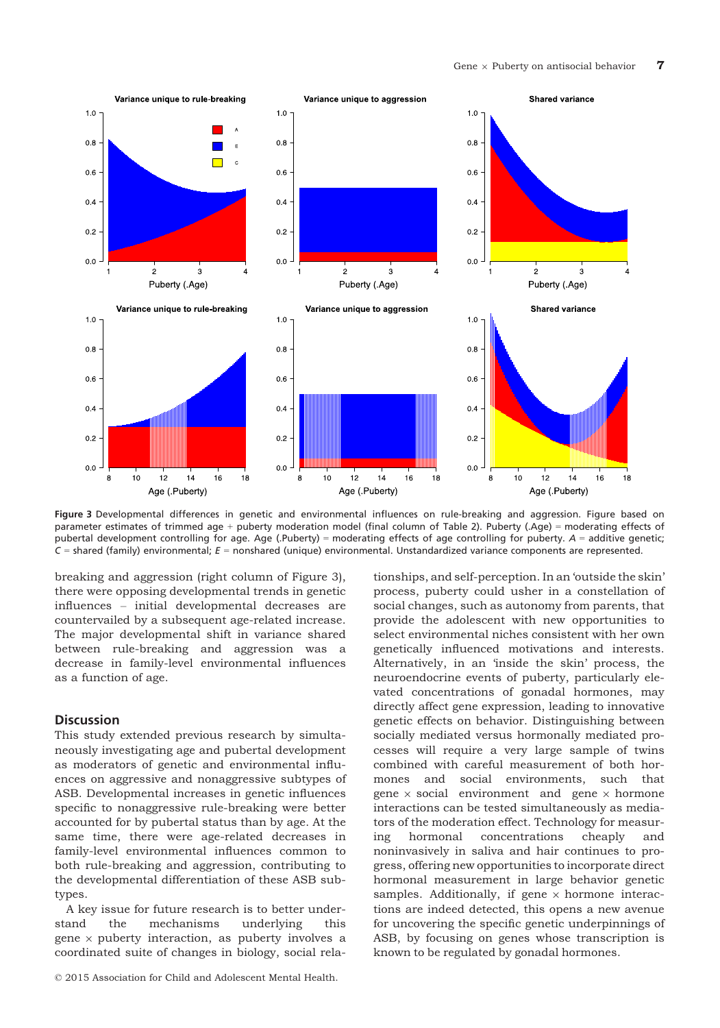

Figure 3 Developmental differences in genetic and environmental influences on rule-breaking and aggression. Figure based on parameter estimates of trimmed age + puberty moderation model (final column of Table 2). Puberty (.Age) = moderating effects of pubertal development controlling for age. Age (.Puberty) = moderating effects of age controlling for puberty. A = additive genetic;  $C$  = shared (family) environmental;  $E$  = nonshared (unique) environmental. Unstandardized variance components are represented.

breaking and aggression (right column of Figure 3), there were opposing developmental trends in genetic influences – initial developmental decreases are countervailed by a subsequent age-related increase. The major developmental shift in variance shared between rule-breaking and aggression was a decrease in family-level environmental influences as a function of age.

#### **Discussion**

This study extended previous research by simultaneously investigating age and pubertal development as moderators of genetic and environmental influences on aggressive and nonaggressive subtypes of ASB. Developmental increases in genetic influences specific to nonaggressive rule-breaking were better accounted for by pubertal status than by age. At the same time, there were age-related decreases in family-level environmental influences common to both rule-breaking and aggression, contributing to the developmental differentiation of these ASB subtypes.

A key issue for future research is to better understand the mechanisms underlying this gene  $\times$  puberty interaction, as puberty involves a coordinated suite of changes in biology, social rela-

tionships, and self-perception. In an 'outside the skin' process, puberty could usher in a constellation of social changes, such as autonomy from parents, that provide the adolescent with new opportunities to select environmental niches consistent with her own genetically influenced motivations and interests. Alternatively, in an 'inside the skin' process, the neuroendocrine events of puberty, particularly elevated concentrations of gonadal hormones, may directly affect gene expression, leading to innovative genetic effects on behavior. Distinguishing between socially mediated versus hormonally mediated processes will require a very large sample of twins combined with careful measurement of both hormones and social environments, such that gene  $\times$  social environment and gene  $\times$  hormone interactions can be tested simultaneously as mediators of the moderation effect. Technology for measuring hormonal concentrations cheaply and noninvasively in saliva and hair continues to progress, offering new opportunities to incorporate direct hormonal measurement in large behavior genetic samples. Additionally, if gene  $\times$  hormone interactions are indeed detected, this opens a new avenue for uncovering the specific genetic underpinnings of ASB, by focusing on genes whose transcription is known to be regulated by gonadal hormones.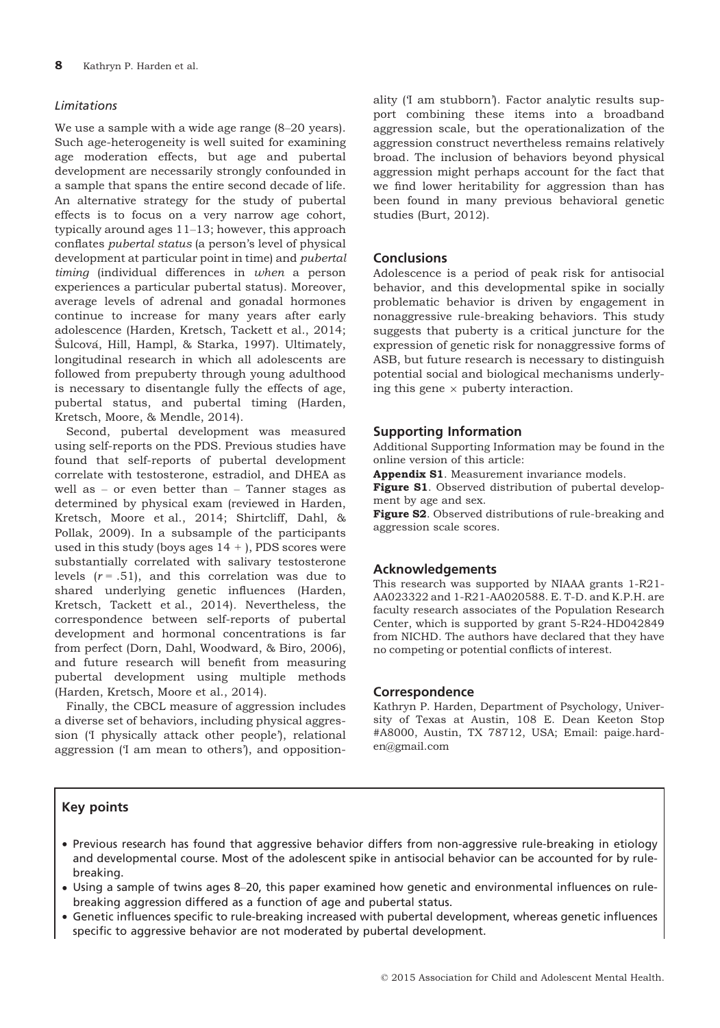## Limitations

We use a sample with a wide age range (8–20 years). Such age-heterogeneity is well suited for examining age moderation effects, but age and pubertal development are necessarily strongly confounded in a sample that spans the entire second decade of life. An alternative strategy for the study of pubertal effects is to focus on a very narrow age cohort, typically around ages 11–13; however, this approach conflates pubertal status (a person's level of physical development at particular point in time) and *pubertal* timing (individual differences in when a person experiences a particular pubertal status). Moreover, average levels of adrenal and gonadal hormones continue to increase for many years after early adolescence (Harden, Kretsch, Tackett et al., 2014; Šulcová, Hill, Hampl, & Starka, 1997). Ultimately, longitudinal research in which all adolescents are followed from prepuberty through young adulthood is necessary to disentangle fully the effects of age, pubertal status, and pubertal timing (Harden, Kretsch, Moore, & Mendle, 2014).

Second, pubertal development was measured using self-reports on the PDS. Previous studies have found that self-reports of pubertal development correlate with testosterone, estradiol, and DHEA as well as – or even better than – Tanner stages as determined by physical exam (reviewed in Harden, Kretsch, Moore et al., 2014; Shirtcliff, Dahl, & Pollak, 2009). In a subsample of the participants used in this study (boys ages  $14 +$ ), PDS scores were substantially correlated with salivary testosterone levels  $(r = .51)$ , and this correlation was due to shared underlying genetic influences (Harden, Kretsch, Tackett et al., 2014). Nevertheless, the correspondence between self-reports of pubertal development and hormonal concentrations is far from perfect (Dorn, Dahl, Woodward, & Biro, 2006), and future research will benefit from measuring pubertal development using multiple methods (Harden, Kretsch, Moore et al., 2014).

Finally, the CBCL measure of aggression includes a diverse set of behaviors, including physical aggression ('I physically attack other people'), relational aggression ('I am mean to others'), and oppositionality ('I am stubborn'). Factor analytic results support combining these items into a broadband aggression scale, but the operationalization of the aggression construct nevertheless remains relatively broad. The inclusion of behaviors beyond physical aggression might perhaps account for the fact that we find lower heritability for aggression than has been found in many previous behavioral genetic studies (Burt, 2012).

# **Conclusions**

Adolescence is a period of peak risk for antisocial behavior, and this developmental spike in socially problematic behavior is driven by engagement in nonaggressive rule-breaking behaviors. This study suggests that puberty is a critical juncture for the expression of genetic risk for nonaggressive forms of ASB, but future research is necessary to distinguish potential social and biological mechanisms underlying this gene  $\times$  puberty interaction.

#### Supporting Information

Additional Supporting Information may be found in the online version of this article:

Appendix S1. Measurement invariance models.

Figure S1. Observed distribution of pubertal development by age and sex.

Figure S2. Observed distributions of rule-breaking and aggression scale scores.

#### Acknowledgements

This research was supported by NIAAA grants 1-R21- AA023322 and 1-R21-AA020588. E. T-D. and K.P.H. are faculty research associates of the Population Research Center, which is supported by grant 5-R24-HD042849 from NICHD. The authors have declared that they have no competing or potential conflicts of interest.

## Correspondence

Kathryn P. Harden, Department of Psychology, University of Texas at Austin, 108 E. Dean Keeton Stop #A8000, Austin, TX 78712, USA; Email: paige.harden@gmail.com

## Key points

- Previous research has found that aggressive behavior differs from non-aggressive rule-breaking in etiology and developmental course. Most of the adolescent spike in antisocial behavior can be accounted for by rulebreaking.
- Using a sample of twins ages 8–20, this paper examined how genetic and environmental influences on rulebreaking aggression differed as a function of age and pubertal status.
- Genetic influences specific to rule-breaking increased with pubertal development, whereas genetic influences specific to aggressive behavior are not moderated by pubertal development.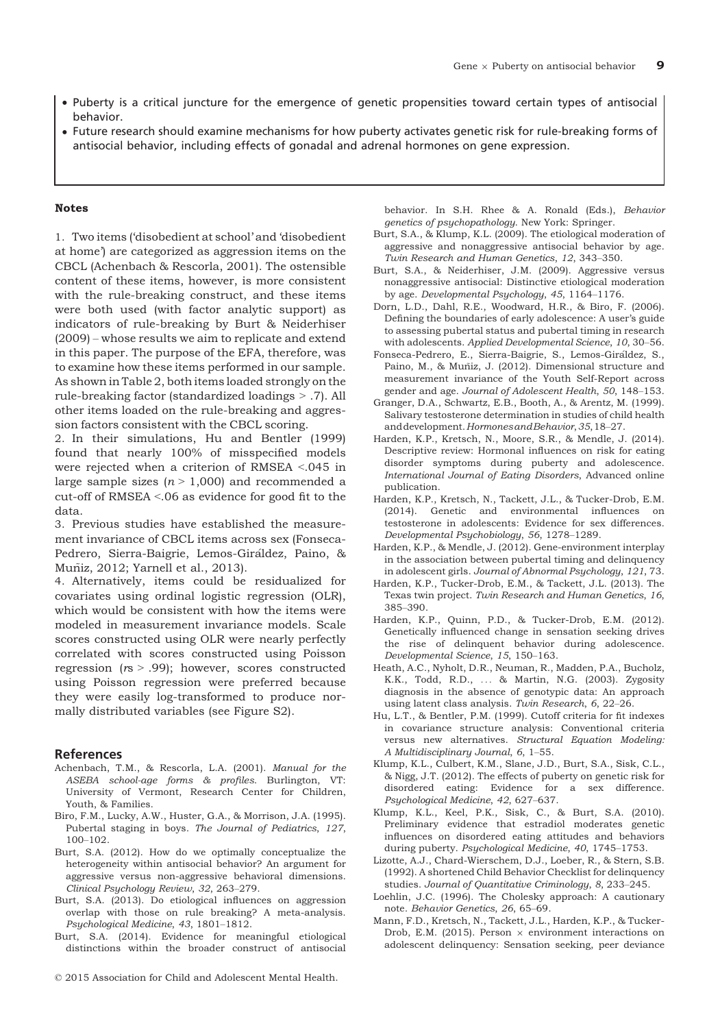- Puberty is a critical juncture for the emergence of genetic propensities toward certain types of antisocial behavior.
- Future research should examine mechanisms for how puberty activates genetic risk for rule-breaking forms of antisocial behavior, including effects of gonadal and adrenal hormones on gene expression.

#### Notes

1. Two items ('disobedient at school' and 'disobedient at home') are categorized as aggression items on the CBCL (Achenbach & Rescorla, 2001). The ostensible content of these items, however, is more consistent with the rule-breaking construct, and these items were both used (with factor analytic support) as indicators of rule-breaking by Burt & Neiderhiser (2009) – whose results we aim to replicate and extend in this paper. The purpose of the EFA, therefore, was to examine how these items performed in our sample. As shown in Table 2, both items loaded strongly on the rule-breaking factor (standardized loadings > .7). All other items loaded on the rule-breaking and aggression factors consistent with the CBCL scoring.

2. In their simulations, Hu and Bentler (1999) found that nearly 100% of misspecified models were rejected when a criterion of RMSEA <.045 in large sample sizes  $(n > 1,000)$  and recommended a cut-off of RMSEA <.06 as evidence for good fit to the data.

3. Previous studies have established the measurement invariance of CBCL items across sex (Fonseca-Pedrero, Sierra-Baigrie, Lemos-Giraldez, Paino, & - Muniz, 2012; Yarnell et al., 2013). ~

4. Alternatively, items could be residualized for covariates using ordinal logistic regression (OLR), which would be consistent with how the items were modeled in measurement invariance models. Scale scores constructed using OLR were nearly perfectly correlated with scores constructed using Poisson regression  $(rs > .99)$ ; however, scores constructed using Poisson regression were preferred because they were easily log-transformed to produce normally distributed variables (see Figure S2).

#### References

- Achenbach, T.M., & Rescorla, L.A. (2001). Manual for the ASEBA school-age forms & profiles. Burlington, VT: University of Vermont, Research Center for Children, Youth, & Families.
- Biro, F.M., Lucky, A.W., Huster, G.A., & Morrison, J.A. (1995). Pubertal staging in boys. The Journal of Pediatrics, 127, 100–102.
- Burt, S.A. (2012). How do we optimally conceptualize the heterogeneity within antisocial behavior? An argument for aggressive versus non-aggressive behavioral dimensions. Clinical Psychology Review, 32, 263–279.
- Burt, S.A. (2013). Do etiological influences on aggression overlap with those on rule breaking? A meta-analysis. Psychological Medicine, 43, 1801–1812.
- Burt, S.A. (2014). Evidence for meaningful etiological distinctions within the broader construct of antisocial

behavior. In S.H. Rhee & A. Ronald (Eds.), Behavior genetics of psychopathology. New York: Springer.

- Burt, S.A., & Klump, K.L. (2009). The etiological moderation of aggressive and nonaggressive antisocial behavior by age. Twin Research and Human Genetics, 12, 343–350.
- Burt, S.A., & Neiderhiser, J.M. (2009). Aggressive versus nonaggressive antisocial: Distinctive etiological moderation by age. Developmental Psychology, 45, 1164–1176.
- Dorn, L.D., Dahl, R.E., Woodward, H.R., & Biro, F. (2006). Defining the boundaries of early adolescence: A user's guide to assessing pubertal status and pubertal timing in research with adolescents. Applied Developmental Science, 10, 30–56.
- Fonseca-Pedrero, E., Sierra-Baigrie, S., Lemos-Giraldez, S., Paino, M., & Muñiz, J. (2012). Dimensional structure and measurement invariance of the Youth Self-Report across gender and age. Journal of Adolescent Health, 50, 148–153.
- Granger, D.A., Schwartz, E.B., Booth, A., & Arentz, M. (1999). Salivary testosterone determination in studies of child health anddevelopment.HormonesandBehavior,35,18–27.
- Harden, K.P., Kretsch, N., Moore, S.R., & Mendle, J. (2014). Descriptive review: Hormonal influences on risk for eating disorder symptoms during puberty and adolescence. International Journal of Eating Disorders, Advanced online publication.
- Harden, K.P., Kretsch, N., Tackett, J.L., & Tucker-Drob, E.M. (2014). Genetic and environmental influences on testosterone in adolescents: Evidence for sex differences. Developmental Psychobiology, 56, 1278–1289.
- Harden, K.P., & Mendle, J. (2012). Gene-environment interplay in the association between pubertal timing and delinquency in adolescent girls. Journal of Abnormal Psychology, 121, 73.
- Harden, K.P., Tucker-Drob, E.M., & Tackett, J.L. (2013). The Texas twin project. Twin Research and Human Genetics, 16, 385–390.
- Harden, K.P., Quinn, P.D., & Tucker-Drob, E.M. (2012). Genetically influenced change in sensation seeking drives the rise of delinquent behavior during adolescence. Developmental Science, 15, 150–163.
- Heath, A.C., Nyholt, D.R., Neuman, R., Madden, P.A., Bucholz, K.K., Todd, R.D., ... & Martin, N.G. (2003). Zygosity diagnosis in the absence of genotypic data: An approach using latent class analysis. Twin Research, 6, 22–26.
- Hu, L.T., & Bentler, P.M. (1999). Cutoff criteria for fit indexes in covariance structure analysis: Conventional criteria versus new alternatives. Structural Equation Modeling: A Multidisciplinary Journal, 6, 1–55.
- Klump, K.L., Culbert, K.M., Slane, J.D., Burt, S.A., Sisk, C.L., & Nigg, J.T. (2012). The effects of puberty on genetic risk for disordered eating: Evidence for a sex difference. Psychological Medicine, 42, 627–637.
- Klump, K.L., Keel, P.K., Sisk, C., & Burt, S.A. (2010). Preliminary evidence that estradiol moderates genetic influences on disordered eating attitudes and behaviors during puberty. Psychological Medicine, 40, 1745–1753.
- Lizotte, A.J., Chard-Wierschem, D.J., Loeber, R., & Stern, S.B. (1992). A shortened Child Behavior Checklist for delinquency studies. Journal of Quantitative Criminology, 8, 233–245.
- Loehlin, J.C. (1996). The Cholesky approach: A cautionary note. Behavior Genetics, 26, 65–69.
- Mann, F.D., Kretsch, N., Tackett, J.L., Harden, K.P., & Tucker-Drob, E.M. (2015). Person  $\times$  environment interactions on adolescent delinquency: Sensation seeking, peer deviance